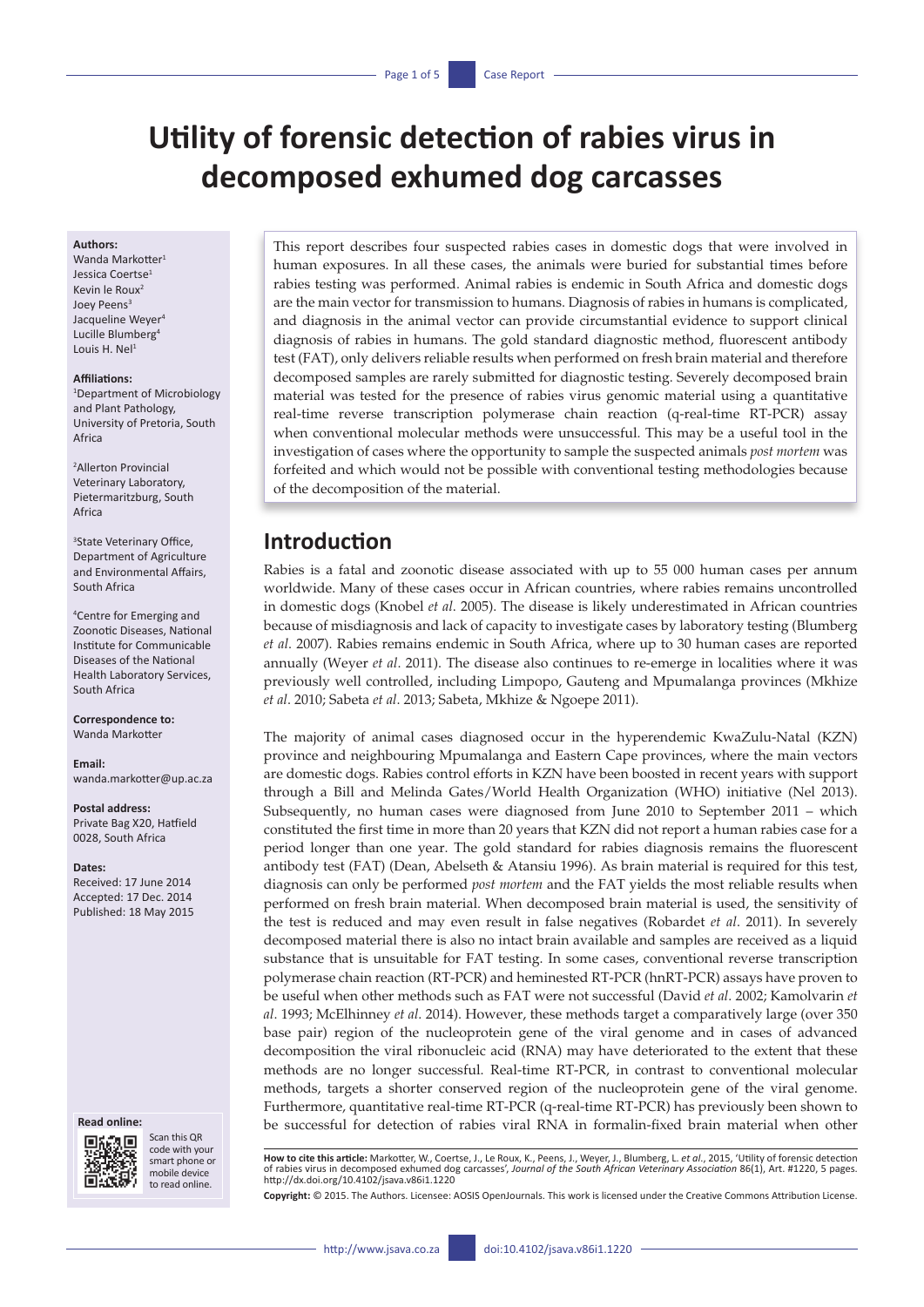# **Utility of forensic detection of rabies virus in decomposed exhumed dog carcasses**

#### **Authors:**

Wanda Markotter<sup>1</sup> Jessica Coertse<sup>1</sup> Kevin le Roux2 Joev Peens<sup>3</sup> Jacqueline Weyer<sup>4</sup> Lucille Blumberg<sup>4</sup> Louis H. Nel<sup>1</sup>

#### **Affiliations:**

1 Department of Microbiology and Plant Pathology, University of Pretoria, South Africa

2 Allerton Provincial Veterinary Laboratory, Pietermaritzburg, South Africa

3 State Veterinary Office, Department of Agriculture and Environmental Affairs, South Africa

4 Centre for Emerging and Zoonotic Diseases, National Institute for Communicable Diseases of the National Health Laboratory Services, South Africa

**Correspondence to:** Wanda Markotter

#### **Email:**

[wanda.markotter@up.ac.za](mailto:wanda.markotter@up.ac.za)

#### **Postal address:**

Private Bag X20, Hatfield 0028, South Africa

#### **Dates:**

Received: 17 June 2014 Accepted: 17 Dec. 2014 Published: 18 May 2015

#### **Read online:**



Scan this QR code with your smart phone or mobile device to read online.

This report describes four suspected rabies cases in domestic dogs that were involved in human exposures. In all these cases, the animals were buried for substantial times before rabies testing was performed. Animal rabies is endemic in South Africa and domestic dogs are the main vector for transmission to humans. Diagnosis of rabies in humans is complicated, and diagnosis in the animal vector can provide circumstantial evidence to support clinical diagnosis of rabies in humans. The gold standard diagnostic method, fluorescent antibody test (FAT), only delivers reliable results when performed on fresh brain material and therefore decomposed samples are rarely submitted for diagnostic testing. Severely decomposed brain material was tested for the presence of rabies virus genomic material using a quantitative real-time reverse transcription polymerase chain reaction (q-real-time RT-PCR) assay when conventional molecular methods were unsuccessful. This may be a useful tool in the investigation of cases where the opportunity to sample the suspected animals *post mortem* was forfeited and which would not be possible with conventional testing methodologies because of the decomposition of the material.

# **Introduction**

Rabies is a fatal and zoonotic disease associated with up to 55 000 human cases per annum worldwide. Many of these cases occur in African countries, where rabies remains uncontrolled in domestic dogs (Knobel *et al*. 2005). The disease is likely underestimated in African countries because of misdiagnosis and lack of capacity to investigate cases by laboratory testing (Blumberg *et al*. 2007). Rabies remains endemic in South Africa, where up to 30 human cases are reported annually (Weyer *et al*. 2011). The disease also continues to re-emerge in localities where it was previously well controlled, including Limpopo, Gauteng and Mpumalanga provinces (Mkhize *et al*. 2010; Sabeta *et al*. 2013; Sabeta, Mkhize & Ngoepe 2011).

The majority of animal cases diagnosed occur in the hyperendemic KwaZulu-Natal (KZN) province and neighbouring Mpumalanga and Eastern Cape provinces, where the main vectors are domestic dogs. Rabies control efforts in KZN have been boosted in recent years with support through a Bill and Melinda Gates/World Health Organization (WHO) initiative (Nel 2013). Subsequently, no human cases were diagnosed from June 2010 to September 2011 – which constituted the first time in more than 20 years that KZN did not report a human rabies case for a period longer than one year. The gold standard for rabies diagnosis remains the fluorescent antibody test (FAT) (Dean, Abelseth & Atansiu 1996). As brain material is required for this test, diagnosis can only be performed *post mortem* and the FAT yields the most reliable results when performed on fresh brain material. When decomposed brain material is used, the sensitivity of the test is reduced and may even result in false negatives (Robardet *et al*. 2011). In severely decomposed material there is also no intact brain available and samples are received as a liquid substance that is unsuitable for FAT testing. In some cases, conventional reverse transcription polymerase chain reaction (RT-PCR) and heminested RT-PCR (hnRT-PCR) assays have proven to be useful when other methods such as FAT were not successful (David *et al*. 2002; Kamolvarin *et al*. 1993; McElhinney *et al*. 2014). However, these methods target a comparatively large (over 350 base pair) region of the nucleoprotein gene of the viral genome and in cases of advanced decomposition the viral ribonucleic acid (RNA) may have deteriorated to the extent that these methods are no longer successful. Real-time RT-PCR, in contrast to conventional molecular methods, targets a shorter conserved region of the nucleoprotein gene of the viral genome. Furthermore, quantitative real-time RT-PCR (q-real-time RT-PCR) has previously been shown to be successful for detection of rabies viral RNA in formalin-fixed brain material when other

**How to cite this article:** Markotter, W., Coertse, J., Le Roux, K., Peens, J., Weyer, J., Blumberg, L. *et al*., 2015, 'Utility of forensic detection of rabies virus in decomposed exhumed dog carcasses', *Journal of the South African Veterinary Association* 86(1), Art. #1220, 5 pages. <http://dx.doi.org/10.4102/jsava.v86i1.1220>

**Copyright:** © 2015. The Authors. Licensee: AOSIS OpenJournals. This work is licensed under the Creative Commons Attribution License.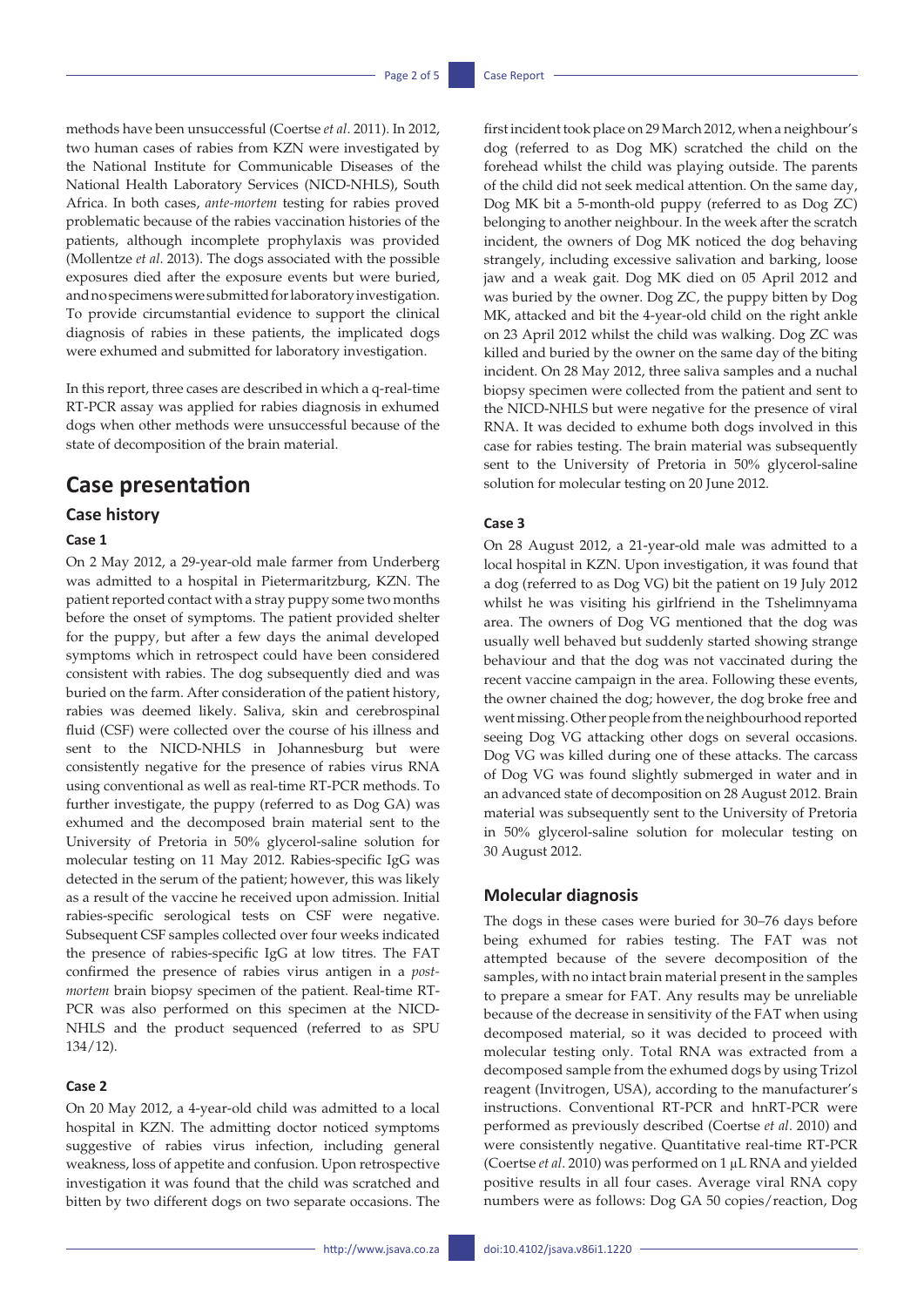methods have been unsuccessful (Coertse *et al*. 2011). In 2012, two human cases of rabies from KZN were investigated by the National Institute for Communicable Diseases of the National Health Laboratory Services (NICD-NHLS), South Africa. In both cases, *ante-mortem* testing for rabies proved problematic because of the rabies vaccination histories of the patients, although incomplete prophylaxis was provided (Mollentze *et al*. 2013). The dogs associated with the possible exposures died after the exposure events but were buried, and no specimens were submitted for laboratory investigation. To provide circumstantial evidence to support the clinical diagnosis of rabies in these patients, the implicated dogs were exhumed and submitted for laboratory investigation.

In this report, three cases are described in which a q-real-time RT-PCR assay was applied for rabies diagnosis in exhumed dogs when other methods were unsuccessful because of the state of decomposition of the brain material.

# **Case presentation**

### **Case history**

### **Case 1**

On 2 May 2012, a 29-year-old male farmer from Underberg was admitted to a hospital in Pietermaritzburg, KZN. The patient reported contact with a stray puppy some two months before the onset of symptoms. The patient provided shelter for the puppy, but after a few days the animal developed symptoms which in retrospect could have been considered consistent with rabies. The dog subsequently died and was buried on the farm. After consideration of the patient history, rabies was deemed likely. Saliva, skin and cerebrospinal fluid (CSF) were collected over the course of his illness and sent to the NICD-NHLS in Johannesburg but were consistently negative for the presence of rabies virus RNA using conventional as well as real-time RT-PCR methods. To further investigate, the puppy (referred to as Dog GA) was exhumed and the decomposed brain material sent to the University of Pretoria in 50% glycerol-saline solution for molecular testing on 11 May 2012. Rabies-specific IgG was detected in the serum of the patient; however, this was likely as a result of the vaccine he received upon admission. Initial rabies-specific serological tests on CSF were negative. Subsequent CSF samples collected over four weeks indicated the presence of rabies-specific IgG at low titres. The FAT confirmed the presence of rabies virus antigen in a *postmortem* brain biopsy specimen of the patient. Real-time RT-PCR was also performed on this specimen at the NICD-NHLS and the product sequenced (referred to as SPU 134/12).

### **Case 2**

On 20 May 2012, a 4-year-old child was admitted to a local hospital in KZN. The admitting doctor noticed symptoms suggestive of rabies virus infection, including general weakness, loss of appetite and confusion. Upon retrospective investigation it was found that the child was scratched and bitten by two different dogs on two separate occasions. The first incident took place on 29 March 2012, when a neighbour's dog (referred to as Dog MK) scratched the child on the forehead whilst the child was playing outside. The parents of the child did not seek medical attention. On the same day, Dog MK bit a 5-month-old puppy (referred to as Dog ZC) belonging to another neighbour. In the week after the scratch incident, the owners of Dog MK noticed the dog behaving strangely, including excessive salivation and barking, loose jaw and a weak gait. Dog MK died on 05 April 2012 and was buried by the owner. Dog ZC, the puppy bitten by Dog MK, attacked and bit the 4-year-old child on the right ankle on 23 April 2012 whilst the child was walking. Dog ZC was killed and buried by the owner on the same day of the biting incident. On 28 May 2012, three saliva samples and a nuchal biopsy specimen were collected from the patient and sent to the NICD-NHLS but were negative for the presence of viral RNA. It was decided to exhume both dogs involved in this case for rabies testing. The brain material was subsequently sent to the University of Pretoria in 50% glycerol-saline solution for molecular testing on 20 June 2012.

### **Case 3**

On 28 August 2012, a 21-year-old male was admitted to a local hospital in KZN. Upon investigation, it was found that a dog (referred to as Dog VG) bit the patient on 19 July 2012 whilst he was visiting his girlfriend in the Tshelimnyama area. The owners of Dog VG mentioned that the dog was usually well behaved but suddenly started showing strange behaviour and that the dog was not vaccinated during the recent vaccine campaign in the area. Following these events, the owner chained the dog; however, the dog broke free and went missing. Other people from the neighbourhood reported seeing Dog VG attacking other dogs on several occasions. Dog VG was killed during one of these attacks. The carcass of Dog VG was found slightly submerged in water and in an advanced state of decomposition on 28 August 2012. Brain material was subsequently sent to the University of Pretoria in 50% glycerol-saline solution for molecular testing on 30 August 2012.

### **Molecular diagnosis**

The dogs in these cases were buried for 30–76 days before being exhumed for rabies testing. The FAT was not attempted because of the severe decomposition of the samples, with no intact brain material present in the samples to prepare a smear for FAT. Any results may be unreliable because of the decrease in sensitivity of the FAT when using decomposed material, so it was decided to proceed with molecular testing only. Total RNA was extracted from a decomposed sample from the exhumed dogs by using Trizol reagent (Invitrogen, USA), according to the manufacturer's instructions. Conventional RT-PCR and hnRT-PCR were performed as previously described (Coertse *et al*. 2010) and were consistently negative. Quantitative real-time RT-PCR (Coertse *et al*. 2010) was performed on 1 µL RNA and yielded positive results in all four cases. Average viral RNA copy numbers were as follows: Dog GA 50 copies/reaction, Dog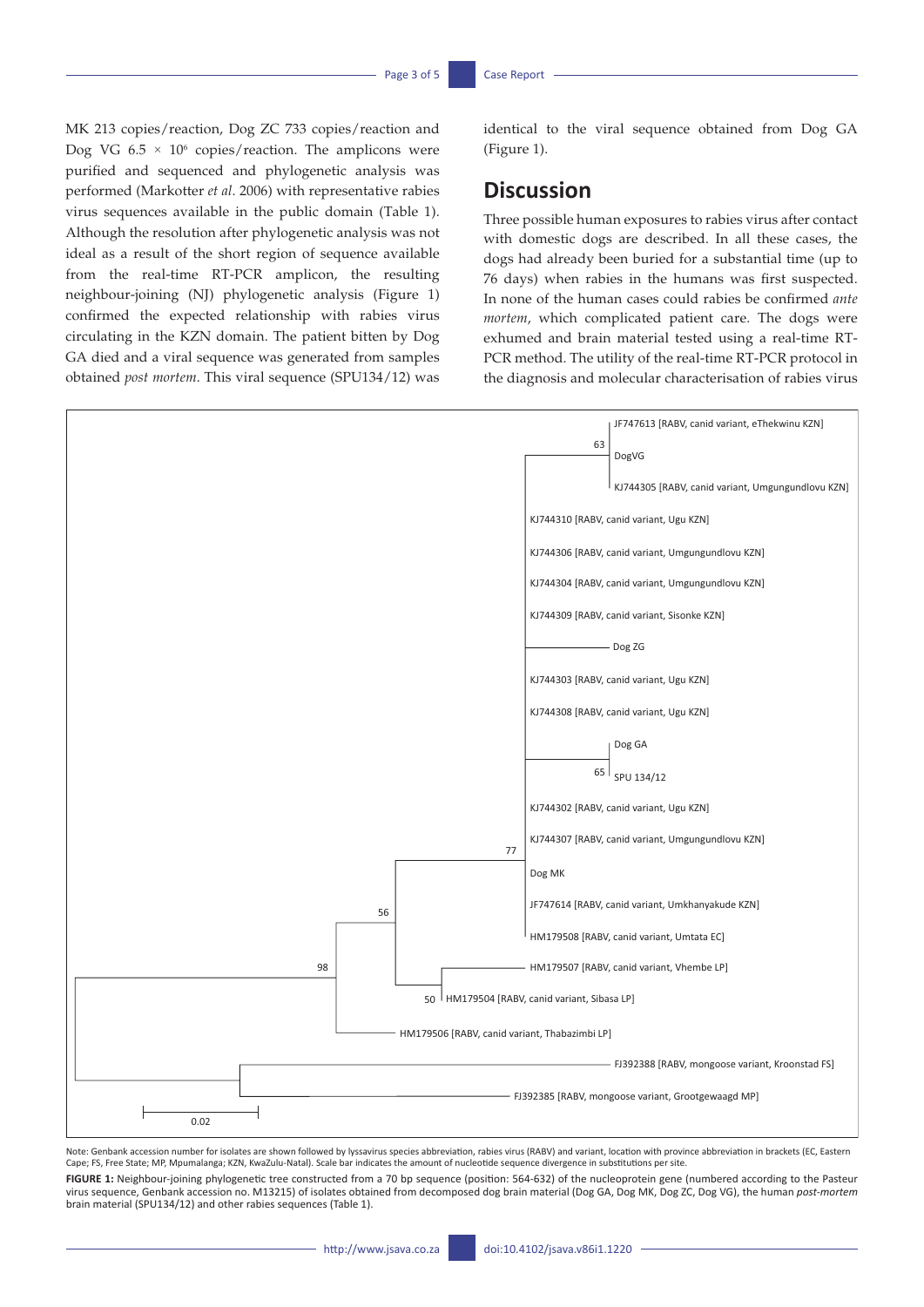MK 213 copies/reaction, Dog ZC 733 copies/reaction and Dog VG  $6.5 \times 10^6$  copies/reaction. The amplicons were purified and sequenced and phylogenetic analysis was performed (Markotter *et al*. 2006) with representative rabies virus sequences available in the public domain (Table 1). Although the resolution after phylogenetic analysis was not ideal as a result of the short region of sequence available from the real-time RT-PCR amplicon, the resulting neighbour-joining (NJ) phylogenetic analysis (Figure 1) confirmed the expected relationship with rabies virus circulating in the KZN domain. The patient bitten by Dog GA died and a viral sequence was generated from samples obtained *post mortem*. This viral sequence (SPU134/12) was

identical to the viral sequence obtained from Dog GA (Figure 1).

# **Discussion**

Three possible human exposures to rabies virus after contact with domestic dogs are described. In all these cases, the dogs had already been buried for a substantial time (up to 76 days) when rabies in the humans was first suspected. In none of the human cases could rabies be confirmed *ante mortem*, which complicated patient care. The dogs were exhumed and brain material tested using a real-time RT-PCR method. The utility of the real-time RT-PCR protocol in the diagnosis and molecular characterisation of rabies virus



Note: Genbank accession number for isolates are shown followed by lyssavirus species abbreviation, rabies virus (RABV) and variant, location with province abbreviation in brackets (EC, Eastern<br>Cape; FS, Free State; MP, Mpu

FIGURE 1: Neighbour-joining phylogenetic tree constructed from a 70 bp sequence (position: 564-632) of the nucleoprotein gene (numbered according to the Pasteur virus sequence, Genbank accession no. M13215) of isolates obtained from decomposed dog brain material (Dog GA, Dog MK, Dog ZC, Dog VG), the human *post-mortem* brain material (SPU134/12) and other rabies sequences (Table 1).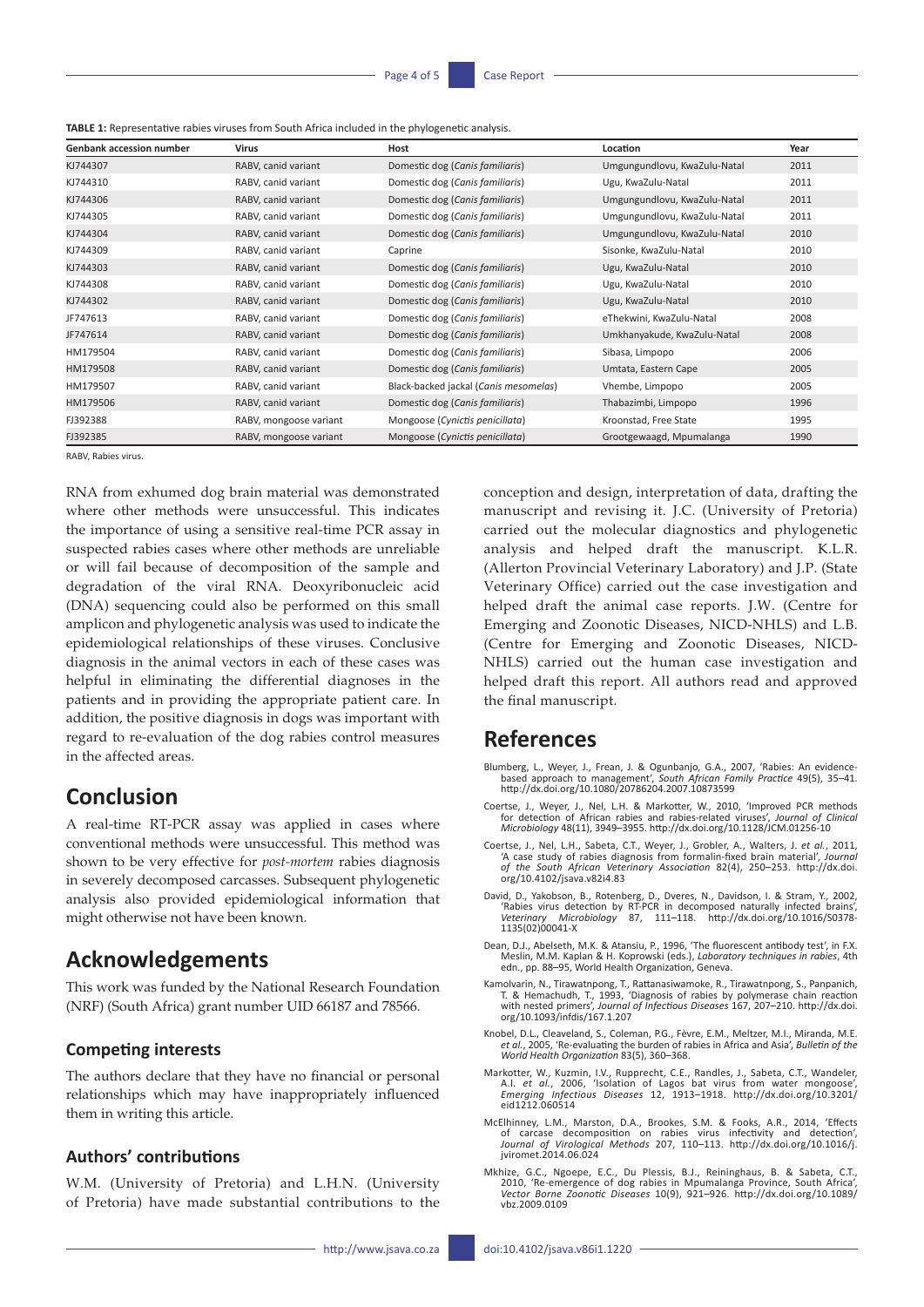**TABLE 1:** Representative rabies viruses from South Africa included in the phylogenetic analysis.

| Genbank accession number | Virus                  | Host                                  | Location                     | Year |
|--------------------------|------------------------|---------------------------------------|------------------------------|------|
| KJ744307                 | RABV, canid variant    | Domestic dog (Canis familiaris)       | Umgungundlovu, KwaZulu-Natal | 2011 |
| KJ744310                 | RABV, canid variant    | Domestic dog (Canis familiaris)       | Ugu, KwaZulu-Natal           | 2011 |
| KJ744306                 | RABV, canid variant    | Domestic dog (Canis familiaris)       | Umgungundlovu, KwaZulu-Natal | 2011 |
| KJ744305                 | RABV, canid variant    | Domestic dog (Canis familiaris)       | Umgungundlovu, KwaZulu-Natal | 2011 |
| KJ744304                 | RABV, canid variant    | Domestic dog (Canis familiaris)       | Umgungundlovu, KwaZulu-Natal | 2010 |
| KJ744309                 | RABV, canid variant    | Caprine                               | Sisonke, KwaZulu-Natal       | 2010 |
| KJ744303                 | RABV, canid variant    | Domestic dog (Canis familiaris)       | Ugu, KwaZulu-Natal           | 2010 |
| KJ744308                 | RABV, canid variant    | Domestic dog (Canis familiaris)       | Ugu, KwaZulu-Natal           | 2010 |
| KJ744302                 | RABV, canid variant    | Domestic dog (Canis familiaris)       | Ugu, KwaZulu-Natal           | 2010 |
| JF747613                 | RABV, canid variant    | Domestic dog (Canis familiaris)       | eThekwini, KwaZulu-Natal     | 2008 |
| JF747614                 | RABV, canid variant    | Domestic dog (Canis familiaris)       | Umkhanyakude, KwaZulu-Natal  | 2008 |
| HM179504                 | RABV, canid variant    | Domestic dog (Canis familiaris)       | Sibasa, Limpopo              | 2006 |
| HM179508                 | RABV, canid variant    | Domestic dog (Canis familiaris)       | Umtata, Eastern Cape         | 2005 |
| HM179507                 | RABV, canid variant    | Black-backed jackal (Canis mesomelas) | Vhembe, Limpopo              | 2005 |
| HM179506                 | RABV, canid variant    | Domestic dog (Canis familiaris)       | Thabazimbi, Limpopo          | 1996 |
| FJ392388                 | RABV, mongoose variant | Mongoose (Cynictis penicillata)       | Kroonstad, Free State        | 1995 |
| FJ392385                 | RABV, mongoose variant | Mongoose (Cynictis penicillata)       | Grootgewaagd, Mpumalanga     | 1990 |

RABV, Rabies virus.

RNA from exhumed dog brain material was demonstrated where other methods were unsuccessful. This indicates the importance of using a sensitive real-time PCR assay in suspected rabies cases where other methods are unreliable or will fail because of decomposition of the sample and degradation of the viral RNA. Deoxyribonucleic acid (DNA) sequencing could also be performed on this small amplicon and phylogenetic analysis was used to indicate the epidemiological relationships of these viruses. Conclusive diagnosis in the animal vectors in each of these cases was helpful in eliminating the differential diagnoses in the patients and in providing the appropriate patient care. In addition, the positive diagnosis in dogs was important with regard to re-evaluation of the dog rabies control measures in the affected areas.

# **Conclusion**

A real-time RT-PCR assay was applied in cases where conventional methods were unsuccessful. This method was shown to be very effective for *post-mortem* rabies diagnosis in severely decomposed carcasses. Subsequent phylogenetic analysis also provided epidemiological information that might otherwise not have been known.

# **Acknowledgements**

This work was funded by the National Research Foundation (NRF) (South Africa) grant number UID 66187 and 78566.

### **Competing interests**

The authors declare that they have no financial or personal relationships which may have inappropriately influenced them in writing this article.

## **Authors' contributions**

W.M. (University of Pretoria) and L.H.N. (University of Pretoria) have made substantial contributions to the conception and design, interpretation of data, drafting the manuscript and revising it. J.C. (University of Pretoria) carried out the molecular diagnostics and phylogenetic analysis and helped draft the manuscript. K.L.R. (Allerton Provincial Veterinary Laboratory) and J.P. (State Veterinary Office) carried out the case investigation and helped draft the animal case reports. J.W. (Centre for Emerging and Zoonotic Diseases, NICD-NHLS) and L.B. (Centre for Emerging and Zoonotic Diseases, NICD-NHLS) carried out the human case investigation and helped draft this report. All authors read and approved the final manuscript.

# **References**

- Blumberg, L., Weyer, J., Frean, J. & Ogunbanjo, G.A., 2007, 'Rabies: An evidencebased approach to management', *South African Family Practice* 49(5), 35–41. <http://dx.doi.org/10.1080/20786204.2007.10873599>
- Coertse, J., Weyer, J., Nel, L.H. & Markotter, W., 2010, 'Improved PCR methods for detection of African rabies and rabies-related viruses', *Journal of Clinical Microbiology* 48(11), 3949–3955. <http://dx.doi.org/10.1128/JCM.01256-10>
- Coertse, J., Nel, L.H., Sabeta, C.T., Weyer, J., Grobler, A., Walters, J. *et al.*, 2011, 'A case study of rabies diagnosis from formalin-fixed brain material', *Journal of the South African Veterinary Association* 82(4), 250–253. [http://dx.doi.](http://dx.doi.org/10.4102/jsava.v82i4.83) [org/10.4102/jsava.v82i4.83](http://dx.doi.org/10.4102/jsava.v82i4.83)
- David, D., Yakobson, B., Rotenberg, D., Dveres, N., Davidson, I. & Stram, Y., 2002,<br>'Rabies virus detection by RT-PCR in decomposed naturally infected brains',<br>Veterinary Microbiology 87, 111–118. http://dx.doi.org/10.1016 [1135\(02\)00041-X](http://dx.doi.org/10.1016/S0378-1135(02)00041-X)
- Dean, D.J., Abelseth, M.K. & Atansiu, P., 1996, 'The fluorescent antibody test', in F.X. Meslin, M.M. Kaplan & H. Koprowski (eds.), *Laboratory techniques in rabies*, 4th edn., pp. 88–95, World Health Organization, Geneva.
- Kamolvarin, N., Tirawatnpong, T., Rattanasiwamoke, R., Tirawatnpong, S., Panpanich,<br>T. & Hemachudh, T., 1993, 'Diagnosis of rabies by polymerase chain reaction<br>with nested primers', Journal of Infectious Diseases 167, 207– [org/10.1093/infdis/167.1.207](http://dx.doi.org/10.1093/infdis/167.1.207)
- Knobel, D.L., Cleaveland, S., Coleman, P.G., Fèvre, E.M., Meltzer, M.I., Miranda, M.E. *et al.*, 2005, 'Re-evaluating the burden of rabies in Africa and Asia', *Bulletin of the World Health Organization* 83(5), 360–368.
- Markotter, W., Kuzmin, I.V., Rupprecht, C.E., Randles, J., Sabeta, C.T., Wandeler,<br>A.l. et al., 2006, 'Isolation of Lagos bat virus from water mongoose',<br>2011 Emerging Infectious Diseases 12, 1913–1918. http://dx.doi.org/1 [eid1212.060514](http://dx.doi.org/10.3201/eid1212.060514)
- McElhinney, L.M., Marston, D.A., Brookes, S.M. & Fooks, A.R., 2014, 'Effects<br>of carcase decomposition on rabies virus infectivity and detection',<br>Journal of Virological Methods 207, 110–113. [http://dx.doi.org/10.1016/j.](http://dx.doi.org/10.1016/j.jviromet.2014.06.024)<br>jv
- Mkhize, G.C., Ngoepe, E.C., Du Plessis, B.J., Reininghaus, B. & Sabeta, C.T., 2010, 'Re-emergence of dog rabies in Mpumalanga Province, South Africa', *Vector Borne Zoonotic Diseases* 10(9), 921–926. [http://dx.doi.org/10.1089/](http://dx.doi.org/10.1089/vbz.2009.0109) [vbz.2009.0109](http://dx.doi.org/10.1089/vbz.2009.0109)